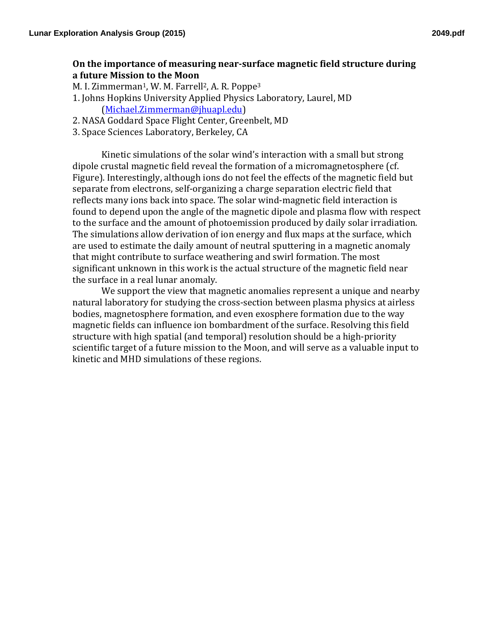## **On the importance of measuring near-surface magnetic field structure during a future Mission to the Moon**

M. I. Zimmerman<sup>1</sup>, W. M. Farrell<sup>2</sup>, A. R. Poppe<sup>3</sup>

- 1. Johns Hopkins University Applied Physics Laboratory, Laurel, MD (Michael.Zimmerman@jhuapl.edu)
- 2. NASA Goddard Space Flight Center, Greenbelt, MD
- 3. Space Sciences Laboratory, Berkeley, CA

Kinetic simulations of the solar wind's interaction with a small but strong dipole crustal magnetic field reveal the formation of a micromagnetosphere (cf. Figure). Interestingly, although ions do not feel the effects of the magnetic field but separate from electrons, self-organizing a charge separation electric field that reflects many ions back into space. The solar wind-magnetic field interaction is found to depend upon the angle of the magnetic dipole and plasma flow with respect to the surface and the amount of photoemission produced by daily solar irradiation. The simulations allow derivation of ion energy and flux maps at the surface, which are used to estimate the daily amount of neutral sputtering in a magnetic anomaly that might contribute to surface weathering and swirl formation. The most significant unknown in this work is the actual structure of the magnetic field near the surface in a real lunar anomaly.

We support the view that magnetic anomalies represent a unique and nearby natural laboratory for studying the cross-section between plasma physics at airless bodies, magnetosphere formation, and even exosphere formation due to the way magnetic fields can influence ion bombardment of the surface. Resolving this field structure with high spatial (and temporal) resolution should be a high-priority scientific target of a future mission to the Moon, and will serve as a valuable input to kinetic and MHD simulations of these regions.